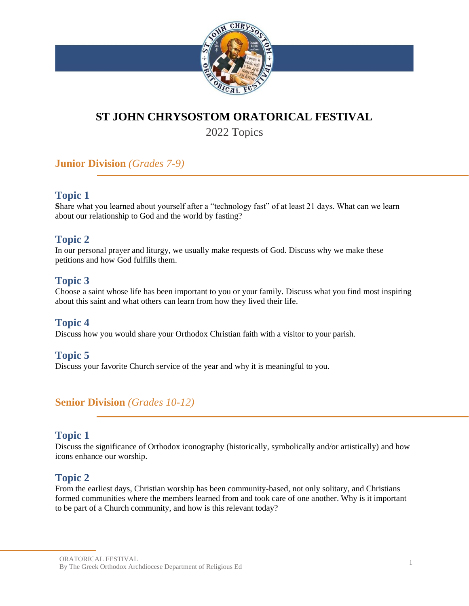

# **ST JOHN CHRYSOSTOM ORATORICAL FESTIVAL**

2022 Topics

## **Junior Division** *(Grades 7-9)*

### **Topic 1**

**S**hare what you learned about yourself after a "technology fast" of at least 21 days. What can we learn about our relationship to God and the world by fasting?

## **Topic 2**

In our personal prayer and liturgy, we usually make requests of God. Discuss why we make these petitions and how God fulfills them.

#### **Topic 3**

Choose a saint whose life has been important to you or your family. Discuss what you find most inspiring about this saint and what others can learn from how they lived their life.

#### **Topic 4**

Discuss how you would share your Orthodox Christian faith with a visitor to your parish.

#### **Topic 5**

Discuss your favorite Church service of the year and why it is meaningful to you.

#### **Senior Division** *(Grades 10-12)*

#### **Topic 1**

Discuss the significance of Orthodox iconography (historically, symbolically and/or artistically) and how icons enhance our worship.

#### **Topic 2**

From the earliest days, Christian worship has been community-based, not only solitary, and Christians formed communities where the members learned from and took care of one another. Why is it important to be part of a Church community, and how is this relevant today?